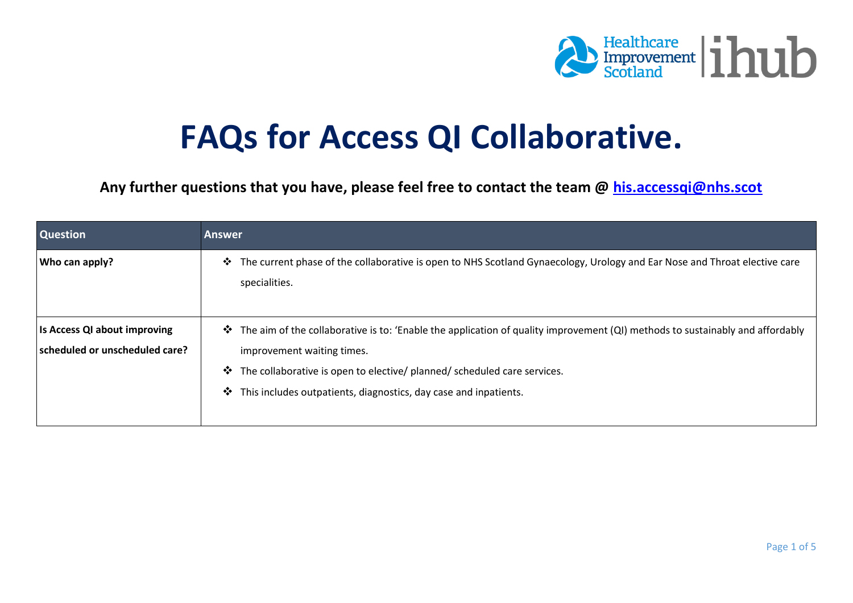

## **FAQs for Access QI Collaborative.**

**Any further questions that you have, please feel free to contact the team @ his.accessqi@nhs.scot**

| <b>Question</b>                                                | <b>Answer</b>                                                                                                                                                                                                                                                                                                                                   |
|----------------------------------------------------------------|-------------------------------------------------------------------------------------------------------------------------------------------------------------------------------------------------------------------------------------------------------------------------------------------------------------------------------------------------|
| Who can apply?                                                 | The current phase of the collaborative is open to NHS Scotland Gynaecology, Urology and Ear Nose and Throat elective care<br>❖<br>specialities.                                                                                                                                                                                                 |
| Is Access QI about improving<br>scheduled or unscheduled care? | The aim of the collaborative is to: 'Enable the application of quality improvement (QI) methods to sustainably and affordably<br>improvement waiting times.<br>The collaborative is open to elective/ planned/ scheduled care services.<br>$\ddot{\bullet}$<br>This includes outpatients, diagnostics, day case and inpatients.<br>$\mathbf{v}$ |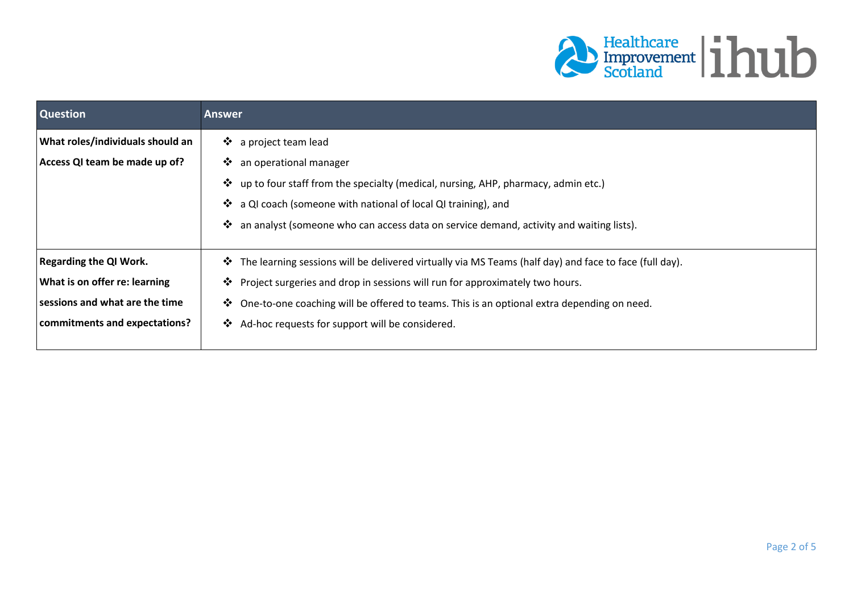

| <b>Question</b>                  | <b>Answer</b>                                                                                                           |
|----------------------------------|-------------------------------------------------------------------------------------------------------------------------|
| What roles/individuals should an | a project team lead<br>❖                                                                                                |
| Access QI team be made up of?    | an operational manager<br>$\ddot{\bullet}$                                                                              |
|                                  | up to four staff from the specialty (medical, nursing, AHP, pharmacy, admin etc.)<br>❖                                  |
|                                  | a QI coach (someone with national of local QI training), and<br>❖                                                       |
|                                  | $\ddot{\cdot}$<br>an analyst (someone who can access data on service demand, activity and waiting lists).               |
|                                  |                                                                                                                         |
| <b>Regarding the QI Work.</b>    | The learning sessions will be delivered virtually via MS Teams (half day) and face to face (full day).<br>$\frac{1}{2}$ |
| What is on offer re: learning    | Project surgeries and drop in sessions will run for approximately two hours.<br>$\mathbf{v}$                            |
| sessions and what are the time   | One-to-one coaching will be offered to teams. This is an optional extra depending on need.<br>❖                         |
| commitments and expectations?    | Ad-hoc requests for support will be considered.<br>$\ddot{\bullet}$                                                     |
|                                  |                                                                                                                         |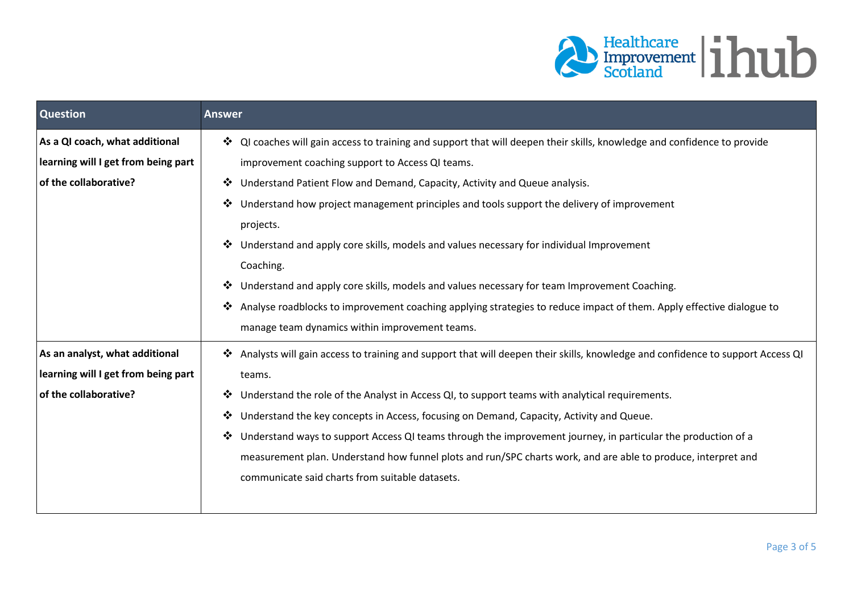

| <b>Question</b>                     | <b>Answer</b>                                                                                                                    |
|-------------------------------------|----------------------------------------------------------------------------------------------------------------------------------|
| As a QI coach, what additional      | • QI coaches will gain access to training and support that will deepen their skills, knowledge and confidence to provide         |
| learning will I get from being part | improvement coaching support to Access QI teams.                                                                                 |
| of the collaborative?               | Understand Patient Flow and Demand, Capacity, Activity and Queue analysis.                                                       |
|                                     | Understand how project management principles and tools support the delivery of improvement<br>$\ddot{\cdot}$                     |
|                                     | projects.                                                                                                                        |
|                                     | Understand and apply core skills, models and values necessary for individual Improvement<br>❖                                    |
|                                     | Coaching.                                                                                                                        |
|                                     | Understand and apply core skills, models and values necessary for team Improvement Coaching.<br>❖                                |
|                                     | Analyse roadblocks to improvement coaching applying strategies to reduce impact of them. Apply effective dialogue to<br>❖        |
|                                     | manage team dynamics within improvement teams.                                                                                   |
| As an analyst, what additional      | * Analysts will gain access to training and support that will deepen their skills, knowledge and confidence to support Access QI |
| learning will I get from being part | teams.                                                                                                                           |
| of the collaborative?               | Understand the role of the Analyst in Access QI, to support teams with analytical requirements.<br>❖                             |
|                                     | Understand the key concepts in Access, focusing on Demand, Capacity, Activity and Queue.<br>$\ddot{\bullet}$                     |
|                                     | Understand ways to support Access QI teams through the improvement journey, in particular the production of a<br>❖               |
|                                     | measurement plan. Understand how funnel plots and run/SPC charts work, and are able to produce, interpret and                    |
|                                     | communicate said charts from suitable datasets.                                                                                  |
|                                     |                                                                                                                                  |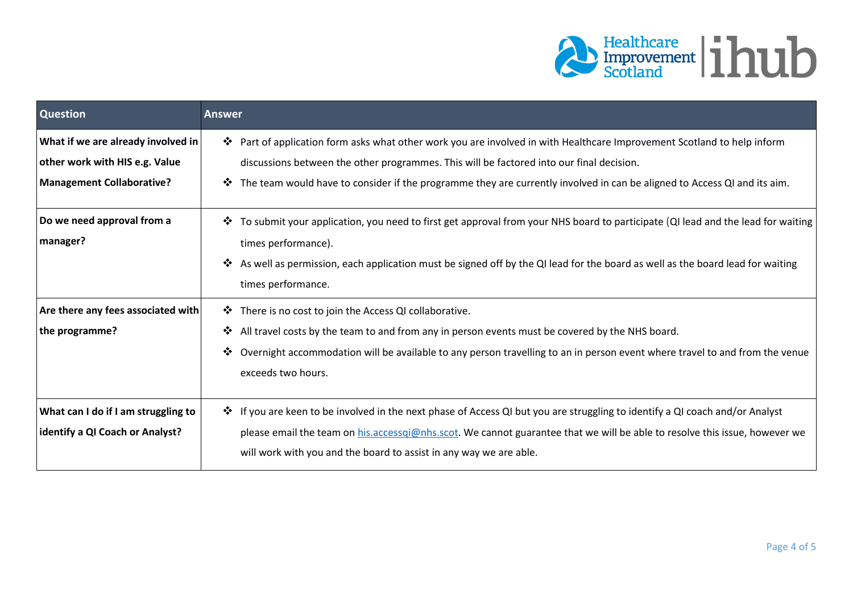

| <b>Question</b>                        | <b>Answer</b>                                                                                                                                                       |
|----------------------------------------|---------------------------------------------------------------------------------------------------------------------------------------------------------------------|
| What if we are already involved in     | Part of application form asks what other work you are involved in with Healthcare Improvement Scotland to help inform                                               |
| other work with HIS e.g. Value         | discussions between the other programmes. This will be factored into our final decision.                                                                            |
| <b>Management Collaborative?</b>       | The team would have to consider if the programme they are currently involved in can be aligned to Access QI and its aim.<br>$\ddot{\bullet}$                        |
| Do we need approval from a<br>manager? | To submit your application, you need to first get approval from your NHS board to participate (QI lead and the lead for waiting<br>❖<br>times performance).         |
|                                        | As well as permission, each application must be signed off by the QI lead for the board as well as the board lead for waiting<br>$\mathbf{v}$<br>times performance. |
| Are there any fees associated with     | There is no cost to join the Access QI collaborative.<br>❖                                                                                                          |
| the programme?                         | All travel costs by the team to and from any in person events must be covered by the NHS board.<br>❖                                                                |
|                                        | Overnight accommodation will be available to any person travelling to an in person event where travel to and from the venue<br>$\mathbf{v}$<br>exceeds two hours.   |
| What can I do if I am struggling to    | * If you are keen to be involved in the next phase of Access QI but you are struggling to identify a QI coach and/or Analyst                                        |
| identify a QI Coach or Analyst?        | please email the team on his.accessqi@nhs.scot. We cannot guarantee that we will be able to resolve this issue, however we                                          |
|                                        | will work with you and the board to assist in any way we are able.                                                                                                  |